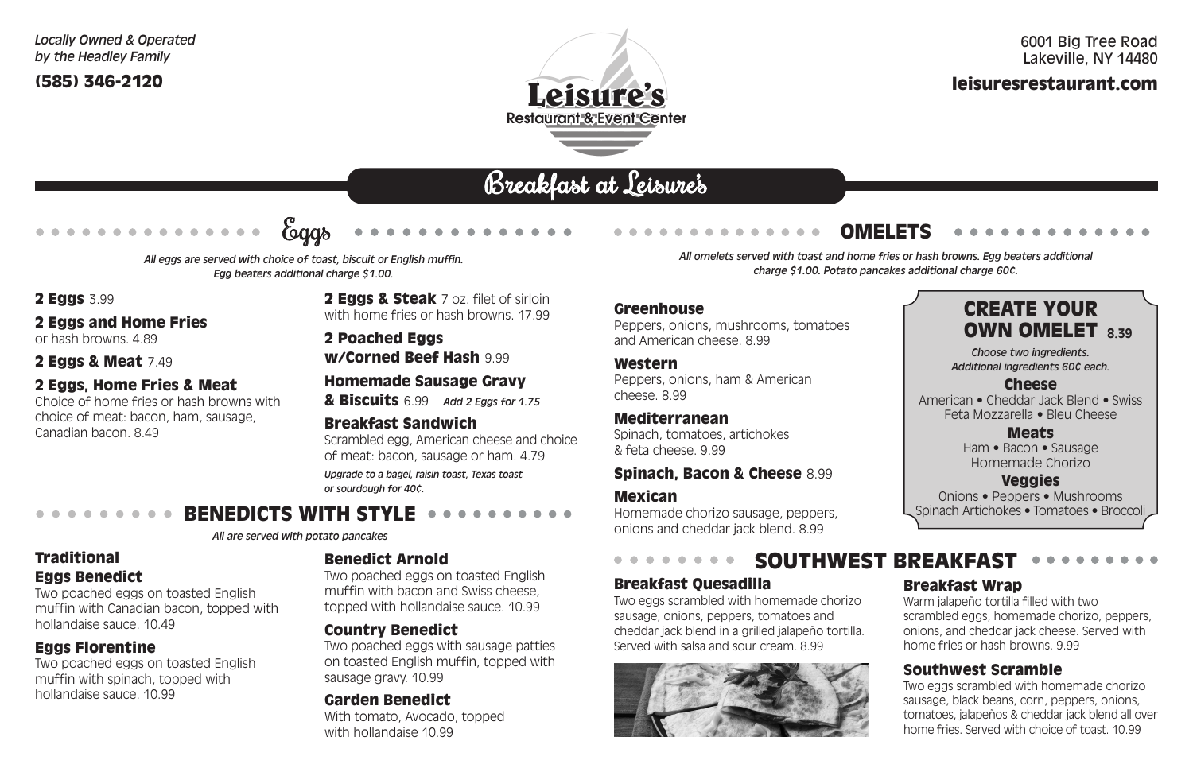# Breakfast at Leisure's



**2 Eggs & Steak** 7 oz. filet of sirloin with home fries or hash browns. 17.99

2 Poached Eggs w/Corned Beef Hash 9.99

#### Homemade Sausage Gravy

& Biscuits 6.99 *Add 2 Eggs for 1.75*

#### Breakfast Sandwich

Scrambled egg, American cheese and choice of meat: bacon, sausage or ham. 4.79

*Upgrade to a bagel, raisin toast, Texas toast or sourdough for 40¢.*

(585) 346-2120

## 6001 Big Tree Road Lakeville, NY 14480 leisuresrestaurant.com

*All eggs are served with choice of toast, biscuit or English muffin. Egg beaters additional charge \$1.00.*

2 **Eggs** 3.99

*Choose two ingredients. Additional ingredients 60¢ each.*

#### Cheese

American • Cheddar Jack Blend • Swiss Feta Mozzarella • Bleu Cheese

#### Meats

Ham • Bacon • Sausage Homemade Chorizo

#### Veggies

#### BENEDICTS WITH STYLE  $\blacksquare$

Onions • Peppers • Mushrooms Spinach Artichokes • Tomatoes • Broccoli

#### 2 Eggs and Home Fries

or hash browns. 4.89

#### 2 Eggs & Meat 7.49

#### 2 Eggs, Home Fries & Meat

Choice of home fries or hash browns with choice of meat: bacon, ham, sausage, Canadian bacon. 8.49

#### Greenhouse

Peppers, onions, mushrooms, tomatoes and American cheese. 8.99

#### Western

Peppers, onions, ham & American cheese. 8.99

#### Mediterranean

Spinach, tomatoes, artichokes & feta cheese. 9.99

#### Spinach, Bacon & Cheese 8.99

#### Mexican

Homemade chorizo sausage, peppers, onions and cheddar jack blend. 8.99

## CREATE YOUR OWN OMELET **8.39**

#### Traditional Eggs Benedict

Two poached eggs on toasted English muffin with Canadian bacon, topped with hollandaise sauce. 10.49

#### Eggs Florentine

Two poached eggs on toasted English muffin with spinach, topped with hollandaise sauce. 10.99



*All are served with potato pancakes*

## Benedict Arnold

Two poached eggs on toasted English muffin with bacon and Swiss cheese, topped with hollandaise sauce. 10.99

#### Country Benedict

Two poached eggs with sausage patties on toasted English muffin, topped with sausage gravy. 10.99

#### Garden Benedict

With tomato, Avocado, topped with hollandaise 10.99

# OMELETS

*All omelets served with toast and home fries or hash browns. Egg beaters additional charge \$1.00. Potato pancakes additional charge 60¢.*

#### Breakfast Quesadilla

Two eggs scrambled with homemade chorizo sausage, onions, peppers, tomatoes and cheddar jack blend in a grilled jalapeño tortilla. Served with salsa and sour cream. 8.99



# SOUTHWEST BREAKFAST

#### Breakfast Wrap

Warm jalapeño tortilla filled with two scrambled eggs, homemade chorizo, peppers, onions, and cheddar jack cheese. Served with home fries or hash browns. 9.99

#### Southwest Scramble

Two eggs scrambled with homemade chorizo sausage, black beans, corn, peppers, onions, tomatoes, jalapeños & cheddar jack blend all over home fries. Served with choice of toast. 10.99